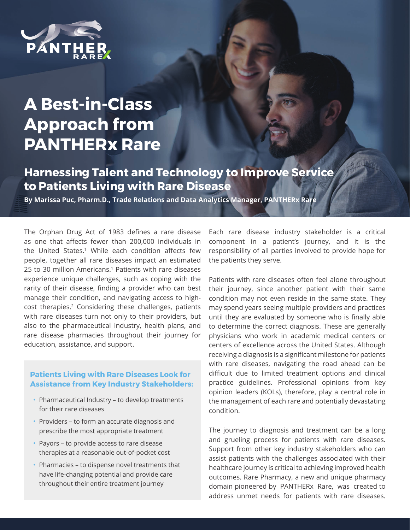

## **A Best-in-Class Approach from PANTHERx Rare**

**Harnessing Talent and Technology to Improve Service to Patients Living with Rare Disease**

**By Marissa Puc, Pharm.D., Trade Relations and Data Analytics Manager, PANTHERx Rare**

The Orphan Drug Act of 1983 defines a rare disease as one that affects fewer than 200,000 individuals in the United States.<sup>1</sup> While each condition affects few people, together all rare diseases impact an estimated 25 to 30 million Americans.<sup>1</sup> Patients with rare diseases experience unique challenges, such as coping with the rarity of their disease, finding a provider who can best manage their condition, and navigating access to highcost therapies.2 Considering these challenges, patients with rare diseases turn not only to their providers, but also to the pharmaceutical industry, health plans, and rare disease pharmacies throughout their journey for education, assistance, and support.

## **Patients Living with Rare Diseases Look for Assistance from Key Industry Stakeholders:**

- Pharmaceutical Industry to develop treatments for their rare diseases
- Providers to form an accurate diagnosis and prescribe the most appropriate treatment
- Payors to provide access to rare disease therapies at a reasonable out-of-pocket cost
- Pharmacies to dispense novel treatments that have life-changing potential and provide care throughout their entire treatment journey

Each rare disease industry stakeholder is a critical component in a patient's journey, and it is the responsibility of all parties involved to provide hope for the patients they serve.

Patients with rare diseases often feel alone throughout their journey, since another patient with their same condition may not even reside in the same state. They may spend years seeing multiple providers and practices until they are evaluated by someone who is finally able to determine the correct diagnosis. These are generally physicians who work in academic medical centers or centers of excellence across the United States. Although receiving a diagnosis is a significant milestone for patients with rare diseases, navigating the road ahead can be difficult due to limited treatment options and clinical practice guidelines. Professional opinions from key opinion leaders (KOLs), therefore, play a central role in the management of each rare and potentially devastating condition.

The journey to diagnosis and treatment can be a long and grueling process for patients with rare diseases. Support from other key industry stakeholders who can assist patients with the challenges associated with their healthcare journey is critical to achieving improved health outcomes. Rare Pharmacy, a new and unique pharmacy domain pioneered by PANTHERx Rare, was created to address unmet needs for patients with rare diseases.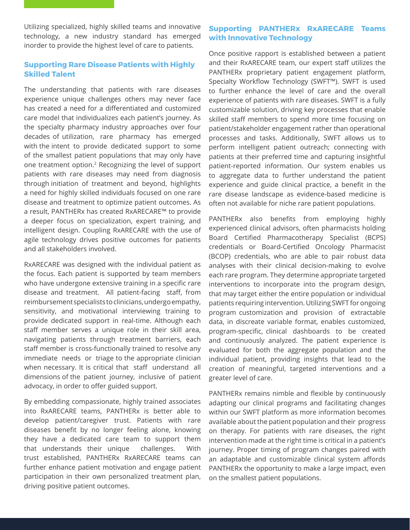Utilizing specialized, highly skilled teams and innovative technology, a new industry standard has emerged inorder to provide the highest level of care to patients.

## **Supporting Rare Disease Patients with Highly Skilled Talent**

The understanding that patients with rare diseases experience unique challenges others may never face has created a need for a differentiated and customized care model that individualizes each patient's journey. As the specialty pharmacy industry approaches over four decades of utilization, rare pharmacy has emerged with the intent to provide dedicated support to some of the smallest patient populations that may only have one treatment option.2 Recognizing the level of support patients with rare diseases may need from diagnosis through initiation of treatment and beyond, highlights a need for highly skilled individuals focused on one rare disease and treatment to optimize patient outcomes. As a result, PANTHERx has created RxARECARE™ to provide a deeper focus on specialization, expert training, and intelligent design. Coupling RxARECARE with the use of agile technology drives positive outcomes for patients and all stakeholders involved.

RxARECARE was designed with the individual patient as the focus. Each patient is supported by team members who have undergone extensive training in a specific rare disease and treatment. All patient-facing staff, from reimbursement specialists to clinicians, undergo empathy, sensitivity, and motivational interviewing training to provide dedicated support in real-time. Although each staff member serves a unique role in their skill area, navigating patients through treatment barriers, each staff member is cross-functionally trained to resolve any immediate needs or triage to the appropriate clinician when necessary. It is critical that staff understand all dimensions of the patient journey, inclusive of patient advocacy, in order to offer guided support.

By embedding compassionate, highly trained associates into RxARECARE teams, PANTHERx is better able to develop patient/caregiver trust. Patients with rare diseases benefit by no longer feeling alone, knowing they have a dedicated care team to support them that understands their unique challenges. With trust established, PANTHERx RxARECARE teams can further enhance patient motivation and engage patient participation in their own personalized treatment plan, driving positive patient outcomes.

## **Supporting PANTHERx RxARECARE Teams with Innovative Technology**

Once positive rapport is established between a patient and their RxARECARE team, our expert staff utilizes the PANTHERx proprietary patient engagement platform, Specialty Workflow Technology (SWFT™). SWFT is used to further enhance the level of care and the overall experience of patients with rare diseases. SWFT is a fully customizable solution, driving key processes that enable skilled staff members to spend more time focusing on patient/stakeholder engagement rather than operational processes and tasks. Additionally, SWFT allows us to perform intelligent patient outreach; connecting with patients at their preferred time and capturing insightful patient-reported information. Our system enables us to aggregate data to further understand the patient experience and guide clinical practice, a benefit in the rare disease landscape as evidence-based medicine is often not available for niche rare patient populations.

PANTHERx also benefits from employing highly experienced clinical advisors, often pharmacists holding Board Certified Pharmacotherapy Specialist (BCPS) credentials or Board-Certified Oncology Pharmacist (BCOP) credentials, who are able to pair robust data analyses with their clinical decision-making to evolve each rare program. They determine appropriate targeted interventions to incorporate into the program design, that may target either the entire population or individual patients requiring intervention. Utilizing SWFT for ongoing program customization and provision of extractable data, in discreate variable format, enables customized, program-specific, clinical dashboards to be created and continuously analyzed. The patient experience is evaluated for both the aggregate population and the individual patient, providing insights that lead to the creation of meaningful, targeted interventions and a greater level of care.

PANTHERx remains nimble and flexible by continuously adapting our clinical programs and facilitating changes within our SWFT platform as more information becomes available about the patient population and their progress on therapy. For patients with rare diseases, the right intervention made at the right time is critical in a patient's journey. Proper timing of program changes paired with an adaptable and customizable clinical system affords PANTHERx the opportunity to make a large impact, even on the smallest patient populations.